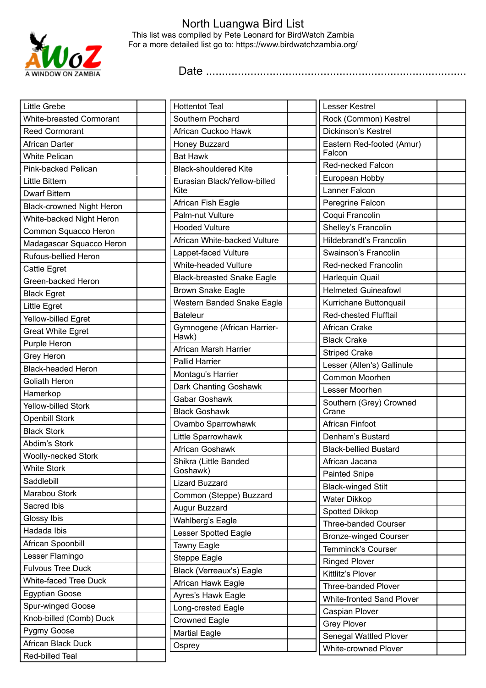

## North Luangwa Bird List This list was compiled by Pete Leonard for BirdWatch Zambia For a more detailed list go to: https://www.birdwatchzambia.org/

Date ..................................................................................

| <b>Little Grebe</b>                         | <b>Hottentot Teal</b>             | Lesser Kestrel                   |
|---------------------------------------------|-----------------------------------|----------------------------------|
| White-breasted Cormorant                    | Southern Pochard                  | Rock (Common) Kestrel            |
| <b>Reed Cormorant</b>                       | African Cuckoo Hawk               | Dickinson's Kestrel              |
| African Darter                              | Honey Buzzard                     | Eastern Red-footed (Amur)        |
| <b>White Pelican</b>                        | <b>Bat Hawk</b>                   | Falcon                           |
| Pink-backed Pelican                         | <b>Black-shouldered Kite</b>      | Red-necked Falcon                |
| <b>Little Bittern</b>                       | Eurasian Black/Yellow-billed      | European Hobby                   |
| <b>Dwarf Bittern</b>                        | Kite                              | Lanner Falcon                    |
| <b>Black-crowned Night Heron</b>            | African Fish Eagle                | Peregrine Falcon                 |
| White-backed Night Heron                    | Palm-nut Vulture                  | Coqui Francolin                  |
| Common Squacco Heron                        | <b>Hooded Vulture</b>             | Shelley's Francolin              |
| Madagascar Squacco Heron                    | African White-backed Vulture      | Hildebrandt's Francolin          |
| Rufous-bellied Heron                        | Lappet-faced Vulture              | Swainson's Francolin             |
| Cattle Egret                                | <b>White-headed Vulture</b>       | Red-necked Francolin             |
| Green-backed Heron                          | <b>Black-breasted Snake Eagle</b> | Harlequin Quail                  |
| <b>Black Egret</b>                          | <b>Brown Snake Eagle</b>          | <b>Helmeted Guineafowl</b>       |
| Little Egret                                | Western Banded Snake Eagle        | Kurrichane Buttonquail           |
| Yellow-billed Egret                         | <b>Bateleur</b>                   | <b>Red-chested Flufftail</b>     |
| <b>Great White Egret</b>                    | Gymnogene (African Harrier-       | African Crake                    |
| Purple Heron                                | Hawk)                             | <b>Black Crake</b>               |
| Grey Heron                                  | African Marsh Harrier             | <b>Striped Crake</b>             |
| <b>Black-headed Heron</b>                   | <b>Pallid Harrier</b>             | Lesser (Allen's) Gallinule       |
| Goliath Heron                               | Montagu's Harrier                 | Common Moorhen                   |
| Hamerkop                                    | Dark Chanting Goshawk             | Lesser Moorhen                   |
| Yellow-billed Stork                         | Gabar Goshawk                     | Southern (Grey) Crowned          |
| <b>Openbill Stork</b>                       | <b>Black Goshawk</b>              | Crane                            |
| <b>Black Stork</b>                          | Ovambo Sparrowhawk                | African Finfoot                  |
| Abdim's Stork                               | Little Sparrowhawk                | Denham's Bustard                 |
| Woolly-necked Stork                         | African Goshawk                   | <b>Black-bellied Bustard</b>     |
| <b>White Stork</b>                          | Shikra (Little Banded             | African Jacana                   |
| Saddlebill                                  | Goshawk)<br><b>Lizard Buzzard</b> | <b>Painted Snipe</b>             |
| Marabou Stork                               |                                   | <b>Black-winged Stilt</b>        |
| Sacred Ibis                                 | Common (Steppe) Buzzard           | <b>Water Dikkop</b>              |
| Glossy Ibis                                 | Augur Buzzard                     | Spotted Dikkop                   |
| Hadada Ibis                                 | Wahlberg's Eagle                  | <b>Three-banded Courser</b>      |
|                                             | Lesser Spotted Eagle              | <b>Bronze-winged Courser</b>     |
| African Spoonbill                           | Tawny Eagle                       | Temminck's Courser               |
| Lesser Flamingo<br><b>Fulvous Tree Duck</b> | Steppe Eagle                      | <b>Ringed Plover</b>             |
|                                             | Black (Verreaux's) Eagle          | Kittlitz's Plover                |
| White-faced Tree Duck                       | African Hawk Eagle                | <b>Three-banded Plover</b>       |
| <b>Egyptian Goose</b>                       | Ayres's Hawk Eagle                | <b>White-fronted Sand Plover</b> |
| Spur-winged Goose                           | Long-crested Eagle                | Caspian Plover                   |
| Knob-billed (Comb) Duck                     | <b>Crowned Eagle</b>              | <b>Grey Plover</b>               |
| Pygmy Goose                                 | <b>Martial Eagle</b>              | Senegal Wattled Plover           |
| African Black Duck                          | Osprey                            | <b>White-crowned Plover</b>      |
| Red-billed Teal                             |                                   |                                  |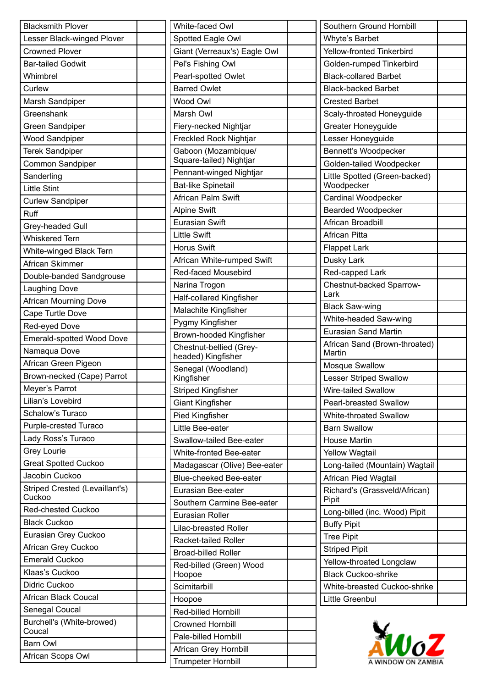| White-faced Owl                                |  |
|------------------------------------------------|--|
| Spotted Eagle Owl                              |  |
| Giant (Verreaux's) Eagle Owl                   |  |
| Pel's Fishing Owl                              |  |
| Pearl-spotted Owlet                            |  |
| <b>Barred Owlet</b>                            |  |
| Wood Owl                                       |  |
| Marsh Owl                                      |  |
| Fiery-necked Nightjar                          |  |
| <b>Freckled Rock Nightjar</b>                  |  |
| Gaboon (Mozambique/<br>Square-tailed) Nightjar |  |
| Pennant-winged Nightjar                        |  |
| <b>Bat-like Spinetail</b>                      |  |
| African Palm Swift                             |  |
| <b>Alpine Swift</b>                            |  |
| <b>Eurasian Swift</b>                          |  |
| <b>Little Swift</b>                            |  |
|                                                |  |
| <b>Horus Swift</b>                             |  |
| African White-rumped Swift                     |  |
| Red-faced Mousebird                            |  |
| Narina Trogon                                  |  |
| Half-collared Kingfisher                       |  |
| Malachite Kingfisher                           |  |
| Pygmy Kingfisher                               |  |
| Brown-hooded Kingfisher                        |  |
| Chestnut-bellied (Grey-<br>headed) Kingfisher  |  |
| Senegal (Woodland)<br>Kingfisher               |  |
| <b>Striped Kingfisher</b>                      |  |
| <b>Giant Kingfisher</b>                        |  |
| <b>Pied Kingfisher</b>                         |  |
| Little Bee-eater                               |  |
| Swallow-tailed Bee-eater                       |  |
| White-fronted Bee-eater                        |  |
| Madagascar (Olive) Bee-eater                   |  |
| <b>Blue-cheeked Bee-eater</b>                  |  |
| Eurasian Bee-eater                             |  |
| Southern Carmine Bee-eater                     |  |
| Eurasian Roller                                |  |
| <b>Lilac-breasted Roller</b>                   |  |
| Racket-tailed Roller                           |  |
| <b>Broad-billed Roller</b>                     |  |
| Red-billed (Green) Wood                        |  |
| Hoopoe                                         |  |
| Scimitarbill                                   |  |
| Hoopoe                                         |  |
| Red-billed Hornbill                            |  |
| <b>Crowned Hornbill</b>                        |  |
| Pale-billed Hornbill                           |  |
| African Grey Hornbill                          |  |
| Trumpeter Hornbill                             |  |

| Southern Ground Hornbill                    |  |
|---------------------------------------------|--|
| Whyte's Barbet                              |  |
| <b>Yellow-fronted Tinkerbird</b>            |  |
| Golden-rumped Tinkerbird                    |  |
| <b>Black-collared Barbet</b>                |  |
| <b>Black-backed Barbet</b>                  |  |
| <b>Crested Barbet</b>                       |  |
| Scaly-throated Honeyguide                   |  |
| <b>Greater Honeyguide</b>                   |  |
| Lesser Honeyguide                           |  |
| Bennett's Woodpecker                        |  |
| Golden-tailed Woodpecker                    |  |
| Little Spotted (Green-backed)<br>Woodpecker |  |
| Cardinal Woodpecker                         |  |
| <b>Bearded Woodpecker</b>                   |  |
| African Broadbill                           |  |
| African Pitta                               |  |
| <b>Flappet Lark</b>                         |  |
| Dusky Lark                                  |  |
| Red-capped Lark                             |  |
| Chestnut-backed Sparrow-<br>Lark            |  |
| <b>Black Saw-wing</b>                       |  |
| White-headed Saw-wing                       |  |
| <b>Eurasian Sand Martin</b>                 |  |
| African Sand (Brown-throated)<br>Martin     |  |
| <b>Mosque Swallow</b>                       |  |
| <b>Lesser Striped Swallow</b>               |  |
| Wire-tailed Swallow                         |  |
| <b>Pearl-breasted Swallow</b>               |  |
| <b>White-throated Swallow</b>               |  |
| <b>Barn Swallow</b>                         |  |
| <b>House Martin</b>                         |  |
| <b>Yellow Wagtail</b>                       |  |
| Long-tailed (Mountain) Wagtail              |  |
| <b>African Pied Wagtail</b>                 |  |
| Richard's (Grassveld/African)<br>Pipit      |  |
| Long-billed (inc. Wood) Pipit               |  |
| <b>Buffy Pipit</b>                          |  |
| <b>Tree Pipit</b>                           |  |
| <b>Striped Pipit</b>                        |  |
| Yellow-throated Longclaw                    |  |
| <b>Black Cuckoo-shrike</b>                  |  |
| White-breasted Cuckoo-shrike                |  |
| Little Greenbul                             |  |